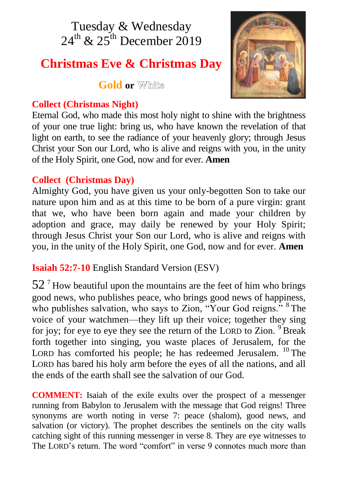# Tuesday & Wednesday  $24^{\text{th}}$  &  $25^{\text{th}}$  December 2019

# **Christmas Eve & Christmas Day**

**Gold** or **White** 

# **Collect (Christmas Night)**



Eternal God, who made this most holy night to shine with the brightness of your one true light: bring us, who have known the revelation of that light on earth, to see the radiance of your heavenly glory; through Jesus Christ your Son our Lord, who is alive and reigns with you, in the unity of the Holy Spirit, one God, now and for ever. **Amen**

# **Collect (Christmas Day)**

Almighty God, you have given us your only-begotten Son to take our nature upon him and as at this time to be born of a pure virgin: grant that we, who have been born again and made your children by adoption and grace, may daily be renewed by your Holy Spirit; through Jesus Christ your Son our Lord, who is alive and reigns with you, in the unity of the Holy Spirit, one God, now and for ever. **Amen**

**Isaiah 52:7-10** English Standard Version (ESV)

 $52<sup>7</sup>$  How beautiful upon the mountains are the feet of him who brings good news, who publishes peace, who brings good news of happiness, who publishes salvation, who says to Zion, "Your God reigns." <sup>8</sup> The voice of your watchmen—they lift up their voice; together they sing for joy; for eye to eye they see the return of the LORD to Zion.  $9$  Break forth together into singing, you waste places of Jerusalem, for the LORD has comforted his people; he has redeemed Jerusalem. <sup>10</sup> The LORD has bared his holy arm before the eyes of all the nations, and all the ends of the earth shall see the salvation of our God.

**COMMENT:** Isaiah of the exile exults over the prospect of a messenger running from Babylon to Jerusalem with the message that God reigns! Three synonyms are worth noting in verse 7: peace (shalom), good news, and salvation (or victory). The prophet describes the sentinels on the city walls catching sight of this running messenger in verse 8. They are eye witnesses to The LORD's return. The word "comfort" in verse 9 connotes much more than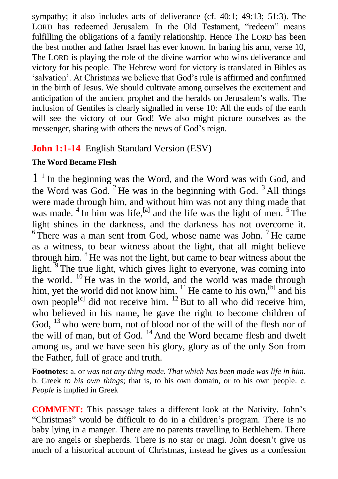sympathy; it also includes acts of deliverance (cf. 40:1; 49:13; 51:3). The LORD has redeemed Jerusalem. In the Old Testament, "redeem" means fulfilling the obligations of a family relationship. Hence The LORD has been the best mother and father Israel has ever known. In baring his arm, verse 10, The LORD is playing the role of the divine warrior who wins deliverance and victory for his people. The Hebrew word for victory is translated in Bibles as 'salvation'. At Christmas we believe that God's rule is affirmed and confirmed in the birth of Jesus. We should cultivate among ourselves the excitement and anticipation of the ancient prophet and the heralds on Jerusalem's walls. The inclusion of Gentiles is clearly signalled in verse 10: All the ends of the earth will see the victory of our God! We also might picture ourselves as the messenger, sharing with others the news of God's reign.

# **John 1:1-14** English Standard Version (ESV)

#### **The Word Became Flesh**

1 1 In the beginning was the Word, and the Word was with God, and the Word was God.  $2$  He was in the beginning with God.  $3$  All things were made through him, and without him was not any thing made that was made.  $4 \text{ In him was life}$ , and the life was the light of men.  $5 \text{ The}$ light shines in the darkness, and the darkness has not overcome it.  $6$ There was a man sent from God, whose name was John.<sup>7</sup> He came as a witness, to bear witness about the light, that all might believe through him. <sup>8</sup> He was not the light, but came to bear witness about the light.<sup>9</sup> The true light, which gives light to everyone, was coming into the world. <sup>10</sup> He was in the world, and the world was made through him, yet the world did not know him.  $\frac{11}{1}$  He came to his own,  $\frac{[b]}{]}$  and his own people<sup>[c]</sup> did not receive him.  $^{12}$  But to all who did receive him, who believed in his name, he gave the right to become children of God, <sup>13</sup> who were born, not of blood nor of the will of the flesh nor of the will of man, but of God.  $^{14}$  And the Word became flesh and dwelt among us, and we have seen his glory, glory as of the only Son from the Father, full of grace and truth.

**Footnotes:** a. or *was not any thing made. That which has been made was life in him.*  b. Greek *to his own things*; that is, to his own domain, or to his own people. c. *People* is implied in Greek

**COMMENT:** This passage takes a different look at the Nativity. John's "Christmas" would be difficult to do in a children's program. There is no baby lying in a manger. There are no parents travelling to Bethlehem. There are no angels or shepherds. There is no star or magi. John doesn't give us much of a historical account of Christmas, instead he gives us a confession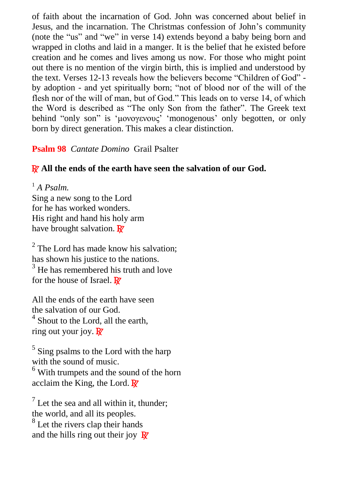of faith about the incarnation of God. John was concerned about belief in Jesus, and the incarnation. The Christmas confession of John's community (note the "us" and "we" in verse 14) extends beyond a baby being born and wrapped in cloths and laid in a manger. It is the belief that he existed before creation and he comes and lives among us now. For those who might point out there is no mention of the virgin birth, this is implied and understood by the text. Verses 12-13 reveals how the believers become "Children of God" by adoption - and yet spiritually born; "not of blood nor of the will of the flesh nor of the will of man, but of God." This leads on to verse 14, of which the Word is described as "The only Son from the father". The Greek text behind "only son" is 'μονογενους' 'monogenous' only begotten, or only born by direct generation. This makes a clear distinction.

#### **Psalm 98** *Cantate Domino* Grail Psalter

### R **All the ends of the earth have seen the salvation of our God.**

<sup>1</sup> *A Psalm.* Sing a new song to the Lord for he has worked wonders. His right and hand his holy arm have brought salvation.  $\mathbb{R}^7$ 

<sup>2</sup> The Lord has made know his salvation; has shown his justice to the nations.  $3$  He has remembered his truth and love for the house of Israel. **R** 

All the ends of the earth have seen the salvation of our God. <sup>4</sup> Shout to the Lord, all the earth, ring out your joy.  $\overline{R}$ 

<sup>5</sup> Sing psalms to the Lord with the harp with the sound of music.  $6$  With trumpets and the sound of the horn acclaim the King, the Lord.  $\mathbb{R}^7$ 

 $<sup>7</sup>$  Let the sea and all within it, thunder;</sup> the world, and all its peoples.

<sup>8</sup> Let the rivers clap their hands and the hills ring out their joy  $\mathbb{R}^7$